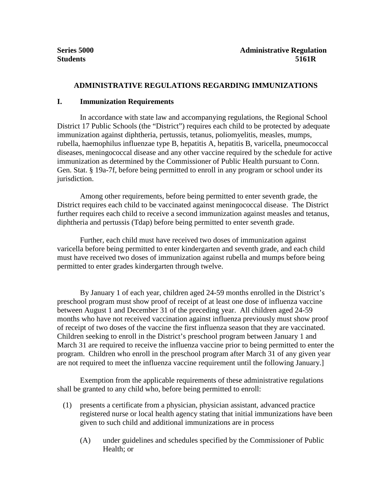## **ADMINISTRATIVE REGULATIONS REGARDING IMMUNIZATIONS**

## **I. Immunization Requirements**

In accordance with state law and accompanying regulations, the Regional School District 17 Public Schools (the "District") requires each child to be protected by adequate immunization against diphtheria, pertussis, tetanus, poliomyelitis, measles, mumps, rubella, haemophilus influenzae type B, hepatitis A, hepatitis B, varicella, pneumococcal diseases, meningococcal disease and any other vaccine required by the schedule for active immunization as determined by the Commissioner of Public Health pursuant to Conn. Gen. Stat. § 19a-7f, before being permitted to enroll in any program or school under its jurisdiction.

Among other requirements, before being permitted to enter seventh grade, the District requires each child to be vaccinated against meningococcal disease. The District further requires each child to receive a second immunization against measles and tetanus, diphtheria and pertussis (Tdap) before being permitted to enter seventh grade.

Further, each child must have received two doses of immunization against varicella before being permitted to enter kindergarten and seventh grade, and each child must have received two doses of immunization against rubella and mumps before being permitted to enter grades kindergarten through twelve.

By January 1 of each year, children aged 24-59 months enrolled in the District's preschool program must show proof of receipt of at least one dose of influenza vaccine between August 1 and December 31 of the preceding year. All children aged 24-59 months who have not received vaccination against influenza previously must show proof of receipt of two doses of the vaccine the first influenza season that they are vaccinated. Children seeking to enroll in the District's preschool program between January 1 and March 31 are required to receive the influenza vaccine prior to being permitted to enter the program. Children who enroll in the preschool program after March 31 of any given year are not required to meet the influenza vaccine requirement until the following January.]

Exemption from the applicable requirements of these administrative regulations shall be granted to any child who, before being permitted to enroll:

- (1) presents a certificate from a physician, physician assistant, advanced practice registered nurse or local health agency stating that initial immunizations have been given to such child and additional immunizations are in process
	- (A) under guidelines and schedules specified by the Commissioner of Public Health; or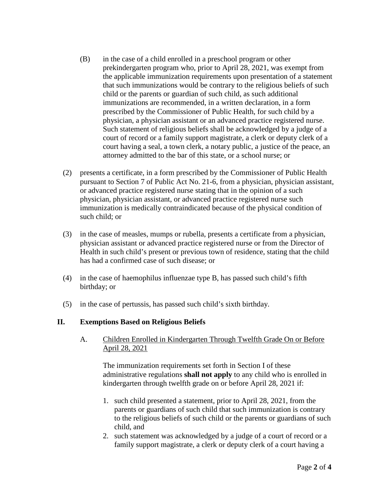- (B) in the case of a child enrolled in a preschool program or other prekindergarten program who, prior to April 28, 2021, was exempt from the applicable immunization requirements upon presentation of a statement that such immunizations would be contrary to the religious beliefs of such child or the parents or guardian of such child, as such additional immunizations are recommended, in a written declaration, in a form prescribed by the Commissioner of Public Health, for such child by a physician, a physician assistant or an advanced practice registered nurse. Such statement of religious beliefs shall be acknowledged by a judge of a court of record or a family support magistrate, a clerk or deputy clerk of a court having a seal, a town clerk, a notary public, a justice of the peace, an attorney admitted to the bar of this state, or a school nurse; or
- (2) presents a certificate, in a form prescribed by the Commissioner of Public Health pursuant to Section 7 of Public Act No. 21-6, from a physician, physician assistant, or advanced practice registered nurse stating that in the opinion of a such physician, physician assistant, or advanced practice registered nurse such immunization is medically contraindicated because of the physical condition of such child; or
- (3) in the case of measles, mumps or rubella, presents a certificate from a physician, physician assistant or advanced practice registered nurse or from the Director of Health in such child's present or previous town of residence, stating that the child has had a confirmed case of such disease; or
- (4) in the case of haemophilus influenzae type B, has passed such child's fifth birthday; or
- (5) in the case of pertussis, has passed such child's sixth birthday.

## **II. Exemptions Based on Religious Beliefs**

A. Children Enrolled in Kindergarten Through Twelfth Grade On or Before April 28, 2021

The immunization requirements set forth in Section I of these administrative regulations **shall not apply** to any child who is enrolled in kindergarten through twelfth grade on or before April 28, 2021 if:

- 1. such child presented a statement, prior to April 28, 2021, from the parents or guardians of such child that such immunization is contrary to the religious beliefs of such child or the parents or guardians of such child, and
- 2. such statement was acknowledged by a judge of a court of record or a family support magistrate, a clerk or deputy clerk of a court having a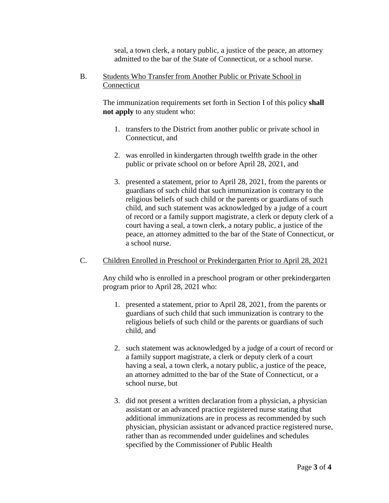seal, a town clerk, a notary public, a justice of the peace, an attorney admitted to the bar of the State of Connecticut, or a school nurse.

B. Students Who Transfer from Another Public or Private School in Connecticut

> The immunization requirements set forth in Section I of this policy **shall not apply** to any student who:

- 1. transfers to the District from another public or private school in Connecticut, and
- 2. was enrolled in kindergarten through twelfth grade in the other public or private school on or before April 28, 2021, and
- 3. presented a statement, prior to April 28, 2021, from the parents or guardians of such child that such immunization is contrary to the religious beliefs of such child or the parents or guardians of such child, and such statement was acknowledged by a judge of a court of record or a family support magistrate, a clerk or deputy clerk of a court having a seal, a town clerk, a notary public, a justice of the peace, an attorney admitted to the bar of the State of Connecticut, or a school nurse.
- C. Children Enrolled in Preschool or Prekindergarten Prior to April 28, 2021

Any child who is enrolled in a preschool program or other prekindergarten program prior to April 28, 2021 who:

- 1. presented a statement, prior to April 28, 2021, from the parents or guardians of such child that such immunization is contrary to the religious beliefs of such child or the parents or guardians of such child, and
- 2. such statement was acknowledged by a judge of a court of record or a family support magistrate, a clerk or deputy clerk of a court having a seal, a town clerk, a notary public, a justice of the peace, an attorney admitted to the bar of the State of Connecticut, or a school nurse, but
- 3. did not present a written declaration from a physician, a physician assistant or an advanced practice registered nurse stating that additional immunizations are in process as recommended by such physician, physician assistant or advanced practice registered nurse, rather than as recommended under guidelines and schedules specified by the Commissioner of Public Health